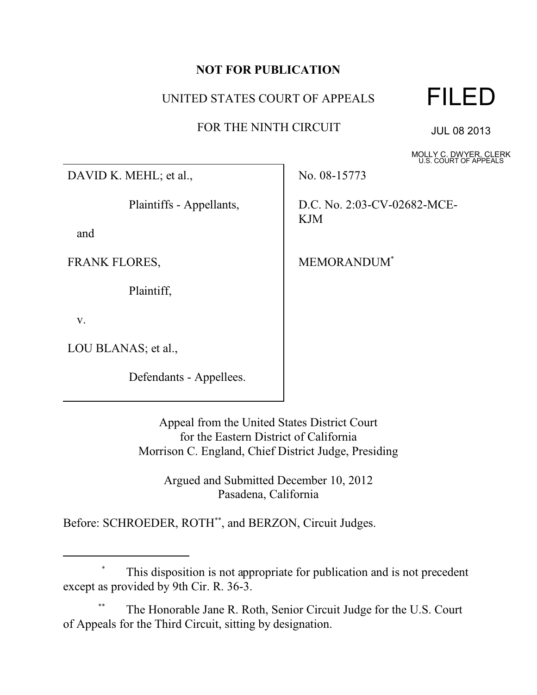## **NOT FOR PUBLICATION**

## UNITED STATES COURT OF APPEALS

FOR THE NINTH CIRCUIT



JUL 08 2013

MOLLY C. DWYER, CLERK U.S. COURT OF APPEALS

DAVID K. MEHL; et al.,

Plaintiffs - Appellants,

and

FRANK FLORES,

Plaintiff,

v.

LOU BLANAS; et al.,

Defendants - Appellees.

No. 08-15773

D.C. No. 2:03-CV-02682-MCE-KJM

MEMORANDUM\*

Appeal from the United States District Court for the Eastern District of California Morrison C. England, Chief District Judge, Presiding

> Argued and Submitted December 10, 2012 Pasadena, California

Before: SCHROEDER, ROTH\*\* , and BERZON, Circuit Judges.

## This disposition is not appropriate for publication and is not precedent except as provided by 9th Cir. R. 36-3.

The Honorable Jane R. Roth, Senior Circuit Judge for the U.S. Court of Appeals for the Third Circuit, sitting by designation.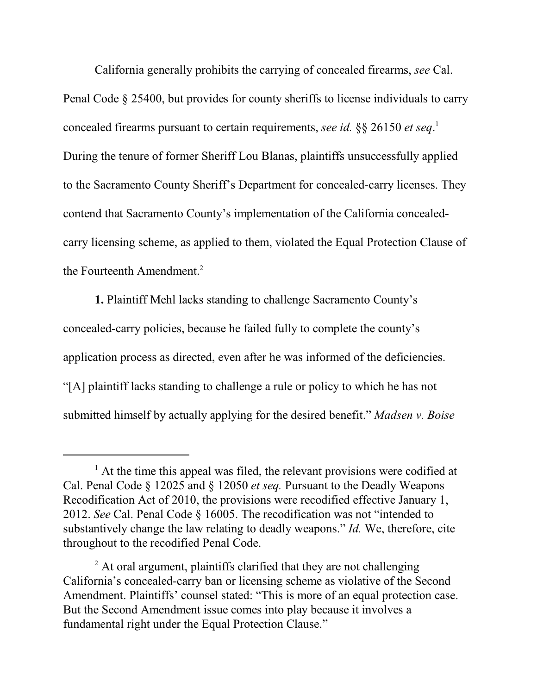California generally prohibits the carrying of concealed firearms, *see* Cal. Penal Code § 25400, but provides for county sheriffs to license individuals to carry concealed firearms pursuant to certain requirements, *see id.* §§ 26150 *et seq*. 1 During the tenure of former Sheriff Lou Blanas, plaintiffs unsuccessfully applied to the Sacramento County Sheriff's Department for concealed-carry licenses. They contend that Sacramento County's implementation of the California concealedcarry licensing scheme, as applied to them, violated the Equal Protection Clause of the Fourteenth Amendment.<sup>2</sup>

**1.** Plaintiff Mehl lacks standing to challenge Sacramento County's concealed-carry policies, because he failed fully to complete the county's application process as directed, even after he was informed of the deficiencies. "[A] plaintiff lacks standing to challenge a rule or policy to which he has not submitted himself by actually applying for the desired benefit." *Madsen v. Boise*

<sup>&</sup>lt;sup>1</sup> At the time this appeal was filed, the relevant provisions were codified at Cal. Penal Code § 12025 and § 12050 *et seq.* Pursuant to the Deadly Weapons Recodification Act of 2010, the provisions were recodified effective January 1, 2012. *See* Cal. Penal Code § 16005. The recodification was not "intended to substantively change the law relating to deadly weapons." *Id.* We, therefore, cite throughout to the recodified Penal Code.

 $2$  At oral argument, plaintiffs clarified that they are not challenging California's concealed-carry ban or licensing scheme as violative of the Second Amendment. Plaintiffs' counsel stated: "This is more of an equal protection case. But the Second Amendment issue comes into play because it involves a fundamental right under the Equal Protection Clause."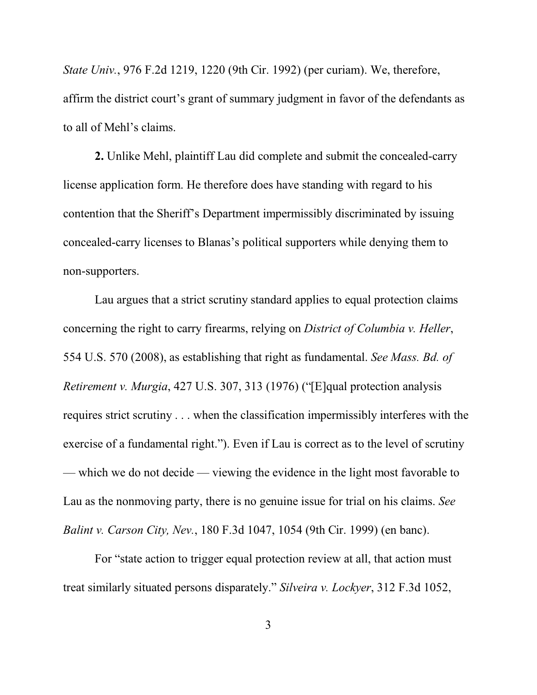*State Univ.*, 976 F.2d 1219, 1220 (9th Cir. 1992) (per curiam). We, therefore, affirm the district court's grant of summary judgment in favor of the defendants as to all of Mehl's claims.

**2.** Unlike Mehl, plaintiff Lau did complete and submit the concealed-carry license application form. He therefore does have standing with regard to his contention that the Sheriff's Department impermissibly discriminated by issuing concealed-carry licenses to Blanas's political supporters while denying them to non-supporters.

Lau argues that a strict scrutiny standard applies to equal protection claims concerning the right to carry firearms, relying on *District of Columbia v. Heller*, 554 U.S. 570 (2008), as establishing that right as fundamental. *See Mass. Bd. of Retirement v. Murgia*, 427 U.S. 307, 313 (1976) ("[E]qual protection analysis requires strict scrutiny . . . when the classification impermissibly interferes with the exercise of a fundamental right."). Even if Lau is correct as to the level of scrutiny — which we do not decide — viewing the evidence in the light most favorable to Lau as the nonmoving party, there is no genuine issue for trial on his claims. *See Balint v. Carson City, Nev.*, 180 F.3d 1047, 1054 (9th Cir. 1999) (en banc).

For "state action to trigger equal protection review at all, that action must treat similarly situated persons disparately." *Silveira v. Lockyer*, 312 F.3d 1052,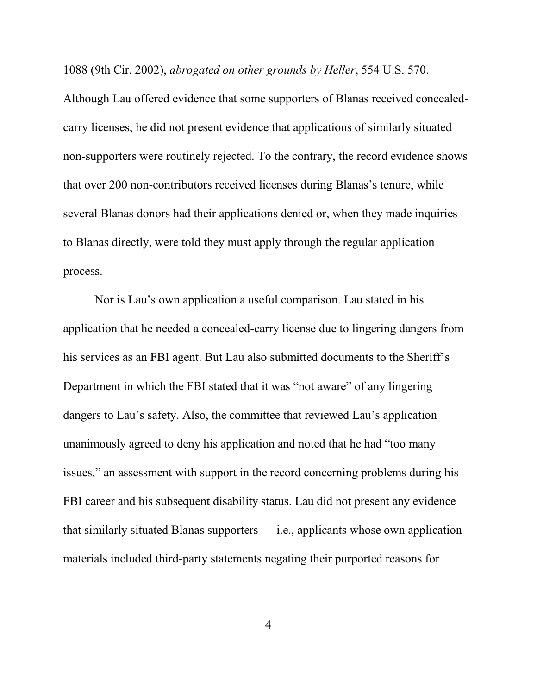1088 (9th Cir. 2002), *abrogated on other grounds by Heller*, 554 U.S. 570.

Although Lau offered evidence that some supporters of Blanas received concealedcarry licenses, he did not present evidence that applications of similarly situated non-supporters were routinely rejected. To the contrary, the record evidence shows that over 200 non-contributors received licenses during Blanas's tenure, while several Blanas donors had their applications denied or, when they made inquiries to Blanas directly, were told they must apply through the regular application process.

Nor is Lau's own application a useful comparison. Lau stated in his application that he needed a concealed-carry license due to lingering dangers from his services as an FBI agent. But Lau also submitted documents to the Sheriff's Department in which the FBI stated that it was "not aware" of any lingering dangers to Lau's safety. Also, the committee that reviewed Lau's application unanimously agreed to deny his application and noted that he had "too many issues," an assessment with support in the record concerning problems during his FBI career and his subsequent disability status. Lau did not present any evidence that similarly situated Blanas supporters — i.e., applicants whose own application materials included third-party statements negating their purported reasons for